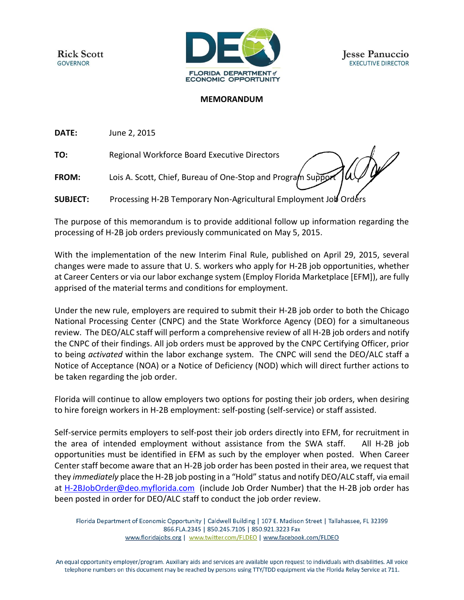**Rick Scott GOVERNOR** 



## **MEMORANDUM**

**DATE:** June 2, 2015

**TO:** Regional Workforce Board Executive Directors

**FROM:** Lois A. Scott, Chief, Bureau of One-Stop and Program Support

**SUBJECT:** Processing H-2B Temporary Non-Agricultural Employment Job Orders

The purpose of this memorandum is to provide additional follow up information regarding the processing of H-2B job orders previously communicated on May 5, 2015.

With the implementation of the new Interim Final Rule, published on April 29, 2015, several changes were made to assure that U. S. workers who apply for H-2B job opportunities, whether at Career Centers or via our labor exchange system (Employ Florida Marketplace [EFM]), are fully apprised of the material terms and conditions for employment.

Under the new rule, employers are required to submit their H-2B job order to both the Chicago National Processing Center (CNPC) and the State Workforce Agency (DEO) for a simultaneous review. The DEO/ALC staff will perform a comprehensive review of all H-2B job orders and notify the CNPC of their findings. All job orders must be approved by the CNPC Certifying Officer, prior to being *activated* within the labor exchange system. The CNPC will send the DEO/ALC staff a Notice of Acceptance (NOA) or a Notice of Deficiency (NOD) which will direct further actions to be taken regarding the job order.

Florida will continue to allow employers two options for posting their job orders, when desiring to hire foreign workers in H-2B employment: self-posting (self-service) or staff assisted.

Self-service permits employers to self-post their job orders directly into EFM, for recruitment in the area of intended employment without assistance from the SWA staff. All H-2B job opportunities must be identified in EFM as such by the employer when posted. When Career Center staff become aware that an H-2B job order has been posted in their area, we request that they *immediately* place the H-2B job posting in a "Hold" status and notify DEO/ALC staff, via email at [H-2BJobOrder@deo.myflorida.com](mailto:H-2BJobOrder@deo.myflorida.com) (include Job Order Number) that the H-2B job order has been posted in order for DEO/ALC staff to conduct the job order review.

Florida Department of Economic Opportunity | Caldwell Building | 107 E. Madison Street | Tallahassee, FL 32399 866.FLA.2345 | 850.245.7105 | 850.921.3223 Fax www.floridajobs.org | www.twitter.com/FLDEO | www.facebook.com/FLDEO

An equal opportunity employer/program. Auxiliary aids and services are available upon request to individuals with disabilities. All voice telephone numbers on this document may be reached by persons using TTY/TDD equipment via the Florida Relay Service at 711.